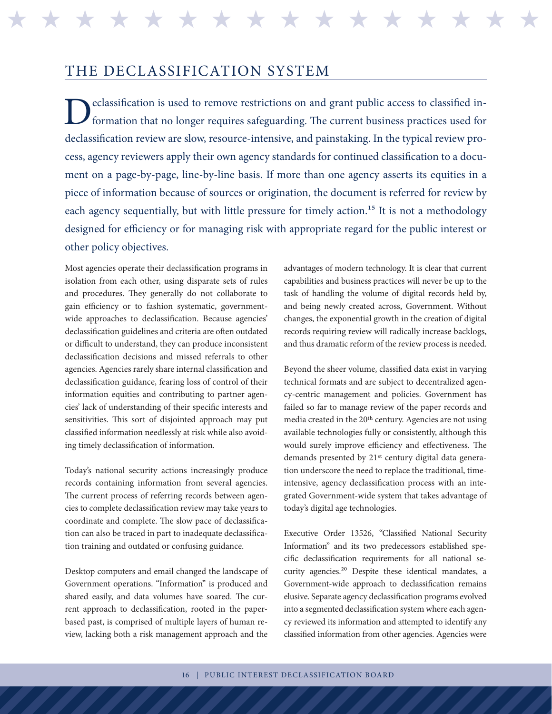## THE DECLASSIFICATION SYSTEM

eclassification is used to remove restrictions on and grant public access to classified information that no longer requires safeguarding. The current business practices used for declassification review are slow, resource-intensive, and painstaking. In the typical review process, agency reviewers apply their own agency standards for continued classification to a document on a page-by-page, line-by-line basis. If more than one agency asserts its equities in a piece of information because of sources or origination, the document is referred for review by each agency sequentially, but with little pressure for timely action.<sup>15</sup> It is not a methodology designed for efficiency or for managing risk with appropriate regard for the public interest or other policy objectives.

\* \* \* \* \* \* \* \* \* \* \* \* \*

Most agencies operate their declassification programs in isolation from each other, using disparate sets of rules and procedures. They generally do not collaborate to gain efficiency or to fashion systematic, governmentwide approaches to declassification. Because agencies' declassification guidelines and criteria are often outdated or difficult to understand, they can produce inconsistent declassification decisions and missed referrals to other agencies. Agencies rarely share internal classification and declassification guidance, fearing loss of control of their information equities and contributing to partner agencies' lack of understanding of their specific interests and sensitivities. This sort of disjointed approach may put classified information needlessly at risk while also avoiding timely declassification of information.

Today's national security actions increasingly produce records containing information from several agencies. The current process of referring records between agencies to complete declassification review may take years to coordinate and complete. The slow pace of declassification can also be traced in part to inadequate declassification training and outdated or confusing guidance.

Desktop computers and email changed the landscape of Government operations. "Information" is produced and shared easily, and data volumes have soared. The current approach to declassification, rooted in the paperbased past, is comprised of multiple layers of human review, lacking both a risk management approach and the

advantages of modern technology. It is clear that current capabilities and business practices will never be up to the task of handling the volume of digital records held by, and being newly created across, Government. Without changes, the exponential growth in the creation of digital records requiring review will radically increase backlogs, and thus dramatic reform of the review process is needed.

Beyond the sheer volume, classified data exist in varying technical formats and are subject to decentralized agency-centric management and policies. Government has failed so far to manage review of the paper records and media created in the 20th century. Agencies are not using available technologies fully or consistently, although this would surely improve efficiency and effectiveness. The demands presented by 21<sup>st</sup> century digital data generation underscore the need to replace the traditional, timeintensive, agency declassification process with an integrated Government-wide system that takes advantage of today's digital age technologies.

Executive Order 13526, "Classified National Security Information" and its two predecessors established specific declassification requirements for all national security agencies.20 Despite these identical mandates, a Government-wide approach to declassification remains elusive. Separate agency declassification programs evolved into a segmented declassification system where each agency reviewed its information and attempted to identify any classified information from other agencies. Agencies were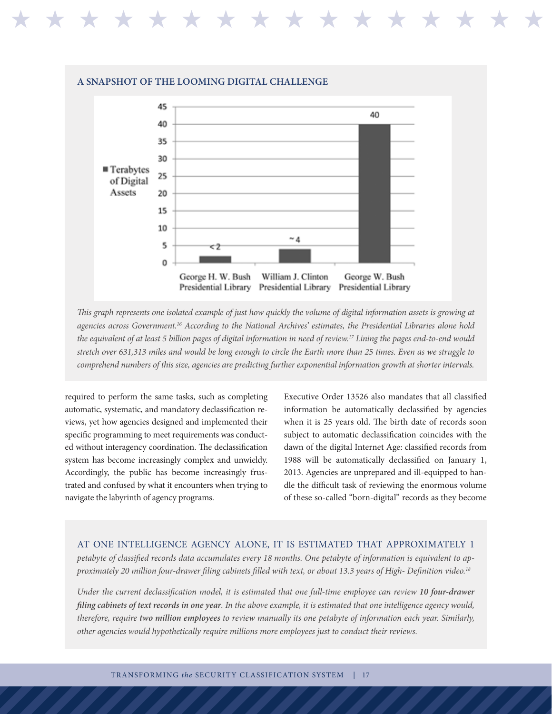

*This graph represents one isolated example of just how quickly the volume of digital information assets is growing at agencies across Government.16 According to the National Archives' estimates, the Presidential Libraries alone hold the equivalent of at least 5 billion pages of digital information in need of review.17 Lining the pages end-to-end would stretch over 631,313 miles and would be long enough to circle the Earth more than 25 times. Even as we struggle to comprehend numbers of this size, agencies are predicting further exponential information growth at shorter intervals.*

required to perform the same tasks, such as completing automatic, systematic, and mandatory declassification reviews, yet how agencies designed and implemented their specific programming to meet requirements was conducted without interagency coordination. The declassification system has become increasingly complex and unwieldy. Accordingly, the public has become increasingly frustrated and confused by what it encounters when trying to navigate the labyrinth of agency programs.

\* \* \* \* \* \* \* \* \* \* \* \* \* \* \* \* \*

Executive Order 13526 also mandates that all classified information be automatically declassified by agencies when it is 25 years old. The birth date of records soon subject to automatic declassification coincides with the dawn of the digital Internet Age: classified records from 1988 will be automatically declassified on January 1, 2013. Agencies are unprepared and ill-equipped to handle the difficult task of reviewing the enormous volume of these so-called "born-digital" records as they become

## AT ONE INTELLIGENCE AGENCY ALONE, IT IS ESTIMATED THAT APPROXIMATELY 1

*petabyte of classified records data accumulates every 18 months. One petabyte of information is equivalent to approximately 20 million four-drawer filing cabinets filled with text, or about 13.3 years of High- Definition video.18*

*Under the current declassification model, it is estimated that one full-time employee can review 10 four-drawer filing cabinets of text records in one year. In the above example, it is estimated that one intelligence agency would, therefore, require two million employees to review manually its one petabyte of information each year. Similarly, other agencies would hypothetically require millions more employees just to conduct their reviews.*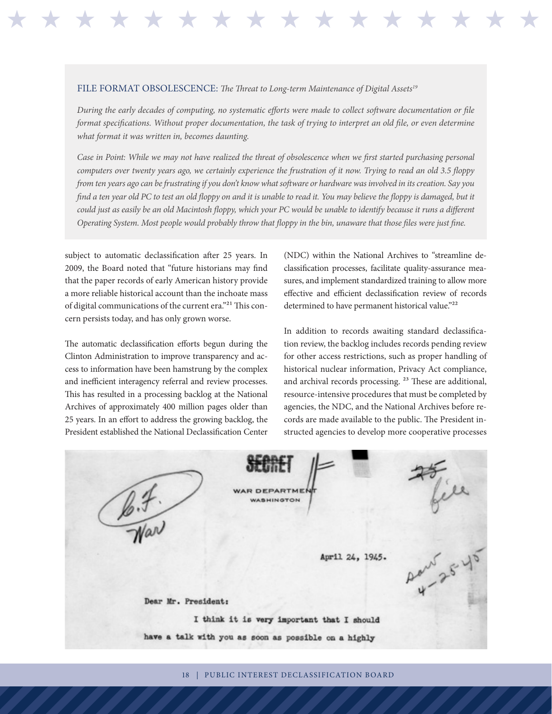## FILE FORMAT OBSOLESCENCE: *The Threat to Long-term Maintenance of Digital Assets19*

*During the early decades of computing, no systematic efforts were made to collect software documentation or file format specifications. Without proper documentation, the task of trying to interpret an old file, or even determine what format it was written in, becomes daunting.* 

H H H H H H H H H H H H H H H H H H H H H H H H H H H H H H H H

*Case in Point: While we may not have realized the threat of obsolescence when we first started purchasing personal computers over twenty years ago, we certainly experience the frustration of it now. Trying to read an old 3.5 floppy from ten years ago can be frustrating if you don't know what software or hardware was involved in its creation. Say you find a ten year old PC to test an old floppy on and it is unable to read it. You may believe the floppy is damaged, but it could just as easily be an old Macintosh floppy, which your PC would be unable to identify because it runs a different Operating System. Most people would probably throw that floppy in the bin, unaware that those files were just fine.*

subject to automatic declassification after 25 years. In 2009, the Board noted that "future historians may find that the paper records of early American history provide a more reliable historical account than the inchoate mass of digital communications of the current era."21 This concern persists today, and has only grown worse.

The automatic declassification efforts begun during the Clinton Administration to improve transparency and access to information have been hamstrung by the complex and inefficient interagency referral and review processes. This has resulted in a processing backlog at the National Archives of approximately 400 million pages older than 25 years. In an effort to address the growing backlog, the President established the National Declassification Center

(NDC) within the National Archives to "streamline declassification processes, facilitate quality-assurance measures, and implement standardized training to allow more effective and efficient declassification review of records determined to have permanent historical value."<sup>22</sup>

In addition to records awaiting standard declassification review, the backlog includes records pending review for other access restrictions, such as proper handling of historical nuclear information, Privacy Act compliance, and archival records processing. 23 These are additional, resource-intensive procedures that must be completed by agencies, the NDC, and the National Archives before records are made available to the public. The President instructed agencies to develop more cooperative processes